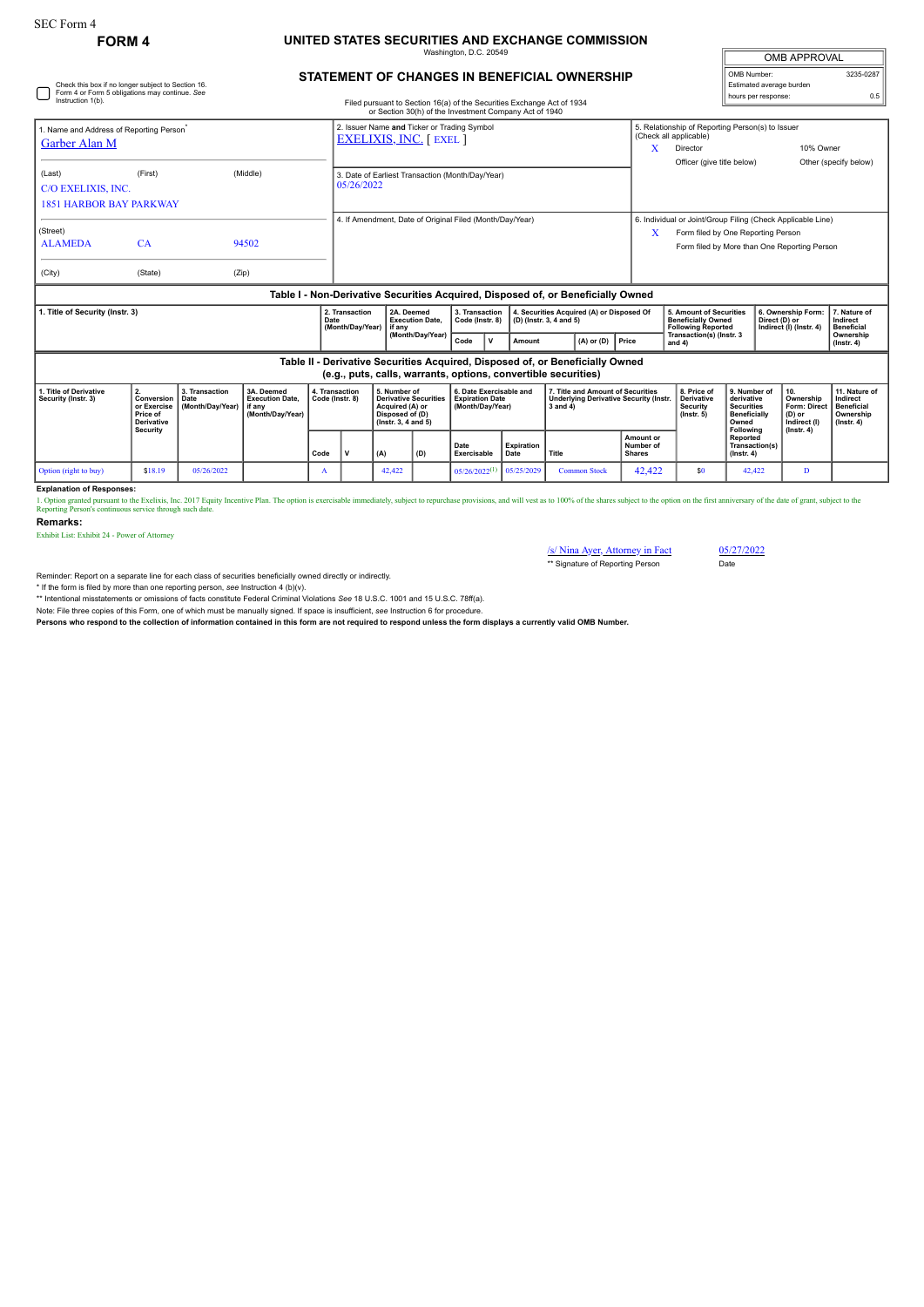Check this box if no longer subject to Section 16. Form 4 or Form 5 obligations may continue. *See*

## **FORM 4 UNITED STATES SECURITIES AND EXCHANGE COMMISSION**

maton, D.C. 20

| OMB APPROVAL             |           |  |  |  |  |
|--------------------------|-----------|--|--|--|--|
| OMB Number:              | 3235-0287 |  |  |  |  |
| Estimated average burden |           |  |  |  |  |
| hours per response:      | ሰ 5       |  |  |  |  |

## **STATEMENT OF CHANGES IN BENEFICIAL OWNERSHIP**

| $\overline{\phantom{0}}$<br>nours per response<br>Instruction 1(b).<br>Filed pursuant to Section 16(a) of the Securities Exchange Act of 1934<br>or Section 30(h) of the Investment Company Act of 1940 |                                                                                                                                                 |       |          |                                   |                                                                               |                                                                                                                                                                         |  |                                                                      |  |                |                                                     |                                                                                                                                                        | ັ                                                                   |                                                                |                                                        |                                               |
|---------------------------------------------------------------------------------------------------------------------------------------------------------------------------------------------------------|-------------------------------------------------------------------------------------------------------------------------------------------------|-------|----------|-----------------------------------|-------------------------------------------------------------------------------|-------------------------------------------------------------------------------------------------------------------------------------------------------------------------|--|----------------------------------------------------------------------|--|----------------|-----------------------------------------------------|--------------------------------------------------------------------------------------------------------------------------------------------------------|---------------------------------------------------------------------|----------------------------------------------------------------|--------------------------------------------------------|-----------------------------------------------|
| . Name and Address of Reporting Person <sup>*</sup><br>Garber Alan M                                                                                                                                    |                                                                                                                                                 |       |          |                                   | 2. Issuer Name and Ticker or Trading Symbol<br><b>EXELIXIS, INC.</b> [ EXEL ] |                                                                                                                                                                         |  |                                                                      |  |                |                                                     | (Check all applicable)<br>Director<br>Officer (give title below)                                                                                       | 5. Relationship of Reporting Person(s) to Issuer<br>10% Owner       |                                                                |                                                        | Other (specify below)                         |
| (Last)<br>C/O EXELIXIS, INC.<br><b>1851 HARBOR BAY PARKWAY</b>                                                                                                                                          | (First)                                                                                                                                         |       | (Middle) |                                   | 3. Date of Earliest Transaction (Month/Day/Year)<br>05/26/2022                |                                                                                                                                                                         |  |                                                                      |  |                |                                                     |                                                                                                                                                        |                                                                     |                                                                |                                                        |                                               |
| (Street)<br><b>ALAMEDA</b>                                                                                                                                                                              | <b>CA</b>                                                                                                                                       |       | 94502    |                                   | 4. If Amendment, Date of Original Filed (Month/Dav/Year)                      |                                                                                                                                                                         |  |                                                                      |  |                |                                                     | 6. Individual or Joint/Group Filing (Check Applicable Line)<br>X<br>Form filed by One Reporting Person<br>Form filed by More than One Reporting Person |                                                                     |                                                                |                                                        |                                               |
| (City)                                                                                                                                                                                                  | (State)                                                                                                                                         | (Zip) |          |                                   |                                                                               |                                                                                                                                                                         |  |                                                                      |  |                |                                                     |                                                                                                                                                        |                                                                     |                                                                |                                                        |                                               |
| Table I - Non-Derivative Securities Acquired, Disposed of, or Beneficially Owned                                                                                                                        |                                                                                                                                                 |       |          |                                   |                                                                               |                                                                                                                                                                         |  |                                                                      |  |                |                                                     |                                                                                                                                                        |                                                                     |                                                                |                                                        |                                               |
| . Title of Security (Instr. 3)<br>2. Transaction<br>Date<br>(Month/Day/Year)                                                                                                                            |                                                                                                                                                 |       |          |                                   | 2A. Deemed<br><b>Execution Date.</b><br>l if anv                              | 3. Transaction<br>Code (Instr. 8)                                                                                                                                       |  | 4. Securities Acquired (A) or Disposed Of<br>(D) (Instr. 3, 4 and 5) |  |                |                                                     | 5. Amount of Securities<br><b>Beneficially Owned</b><br><b>Following Reported</b>                                                                      |                                                                     | 6. Ownership Form:<br>Direct (D) or<br>Indirect (I) (Instr. 4) |                                                        | 7. Nature of<br>Indirect<br><b>Beneficial</b> |
|                                                                                                                                                                                                         |                                                                                                                                                 |       |          |                                   | (Month/Day/Year)                                                              |                                                                                                                                                                         |  | Amount                                                               |  | $(A)$ or $(D)$ | Price                                               | Transaction(s) (Instr. 3<br>and $4)$                                                                                                                   |                                                                     |                                                                |                                                        | Ownership<br>$($ lnstr. 4 $)$                 |
|                                                                                                                                                                                                         | Table II - Derivative Securities Acquired, Disposed of, or Beneficially Owned<br>(e.g., puts, calls, warrants, options, convertible securities) |       |          |                                   |                                                                               |                                                                                                                                                                         |  |                                                                      |  |                |                                                     |                                                                                                                                                        |                                                                     |                                                                |                                                        |                                               |
| 1. Title of Derivative<br>2.<br>3. Transaction<br>3A. Deemed<br>Security (Instr. 3)<br>Conversion<br>Date<br><b>Execution Date.</b><br>(Month/Day/Year)   if any<br>or Exercise                         |                                                                                                                                                 |       |          | 4. Transaction<br>Code (Instr. 8) | 5. Number of<br><b>Derivative Securities</b><br>Acquired (A) or               | 6. Date Exercisable and<br>7. Title and Amount of Securities<br><b>Expiration Date</b><br><b>Underlying Derivative Security (Instr.</b><br>(Month/Dav/Year)<br>3 and 4) |  |                                                                      |  |                | 8. Price of<br><b>Derivative</b><br><b>Security</b> |                                                                                                                                                        | 9. Number of<br>10.<br>derivative<br>Ownership<br><b>Securities</b> |                                                                | 11. Nature of<br>Indirect<br>Form: Direct   Beneficial |                                               |

|                       | <b>Price of</b><br>Derivative<br><b>Security</b> |            | (Month/Dav/Year) |      |  | Disposed of (D)<br>$($ lnstr. 3. 4 and 5 $)$ |     |                             |                    |                     |                                                | $($ lnstr. 5 $)$ | <b>Beneficially</b><br>Owned<br>Following      | (D) or<br>Indirect (I) | l Ownership<br>(Instr. 4) |
|-----------------------|--------------------------------------------------|------------|------------------|------|--|----------------------------------------------|-----|-----------------------------|--------------------|---------------------|------------------------------------------------|------------------|------------------------------------------------|------------------------|---------------------------|
|                       |                                                  |            |                  | Code |  | (A)                                          | (D) | Date<br>Exercisable         | Expiration<br>Date | Title               | <b>Amount or</b><br>Number of<br><b>Shares</b> |                  | Reported<br>Transaction(s)<br>$($ lnstr. 4 $)$ | $($ lnstr. 4 $)$       |                           |
| Option (right to buy) | \$18.19                                          | 05/26/2022 |                  |      |  | 42,422                                       |     | $05/26/2022$ <sup>(1)</sup> | 1   05/25/2029     | <b>Common Stock</b> | 12.422                                         | \$0              | 42,422                                         |                        |                           |

**Explanation of Responses:**

1. Option granted pursuant to the Exclixis, Inc. 2017 Equity Incentive Plan. The option is exercisable immediately, subject to repurchase provisions, and will vest as to 100% of the shares subject to the option on the firs

**Remarks:**

Exhibit List: Exhibit 24 - Power of Attorney

/s/ Nina Ayer, Attorney in Fact 05/27/2022 \*\* Signature of Reporting Person Date

Reminder: Report on a separate line for each class of securities beneficially owned directly or indirectly.

\* If the form is filed by more than one reporting person, see Instruction 4 (b)(v).<br>\*\* Intentional misstatements or omissions of facts constitute Federal Criminal Violations See 18 U.S.C. 1001 and 15 U.S.C. 78ff(a).

Note: File three copies of this Form, one of which must be manually signed. If space is insufficient, *see* Instruction 6 for procedure.

**Persons who respond to the collection of information contained in this form are not required to respond unless the form displays a currently valid OMB Number.**